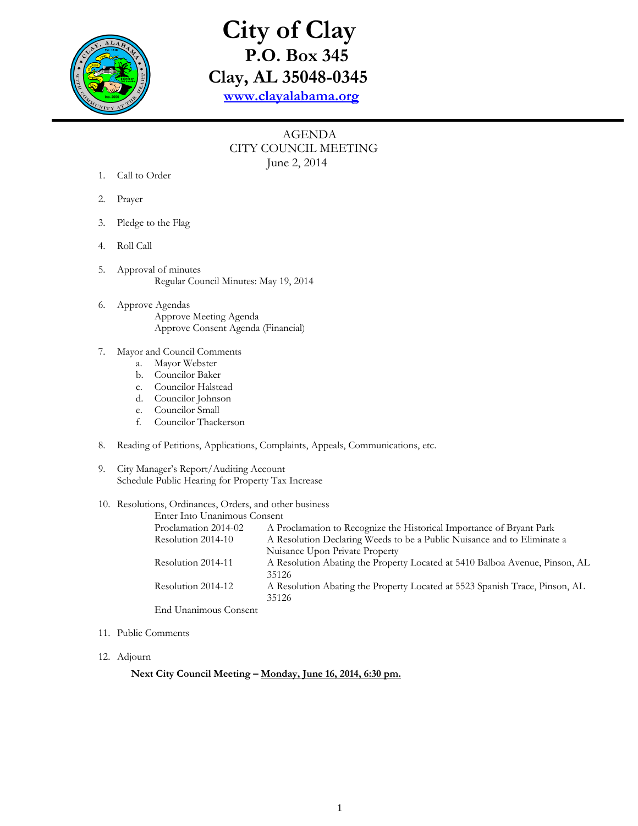

## **City of Clay P.O. Box 345 Clay, AL 35048-0345 [www.clayalabama.org](http://www.clayalabama.org/)**

## AGENDA CITY COUNCIL MEETING June 2, 2014

- 1. Call to Order
- 2. Prayer
- 3. Pledge to the Flag
- 4. Roll Call
- 5. Approval of minutes Regular Council Minutes: May 19, 2014
- 6. Approve Agendas Approve Meeting Agenda Approve Consent Agenda (Financial)
- 7. Mayor and Council Comments
	- a. Mayor Webster
	- b. Councilor Baker
	- c. Councilor Halstead
	- d. Councilor Johnson
	- e. Councilor Small
	- f. Councilor Thackerson
- 8. Reading of Petitions, Applications, Complaints, Appeals, Communications, etc.
- 9. City Manager's Report/Auditing Account Schedule Public Hearing for Property Tax Increase
- 10. Resolutions, Ordinances, Orders, and other business

| Enter Into Unanimous Consent |                                                                             |
|------------------------------|-----------------------------------------------------------------------------|
| Proclamation 2014-02         | A Proclamation to Recognize the Historical Importance of Bryant Park        |
| Resolution 2014-10           | A Resolution Declaring Weeds to be a Public Nuisance and to Eliminate a     |
|                              | Nuisance Upon Private Property                                              |
| Resolution 2014-11           | A Resolution Abating the Property Located at 5410 Balboa Avenue, Pinson, AL |
|                              | 35126                                                                       |
| Resolution 2014-12           | A Resolution Abating the Property Located at 5523 Spanish Trace, Pinson, AL |
|                              | 35126                                                                       |
| End Unanimous Consent        |                                                                             |

- 11. Public Comments
- 12. Adjourn

**Next City Council Meeting – Monday, June 16, 2014, 6:30 pm.**